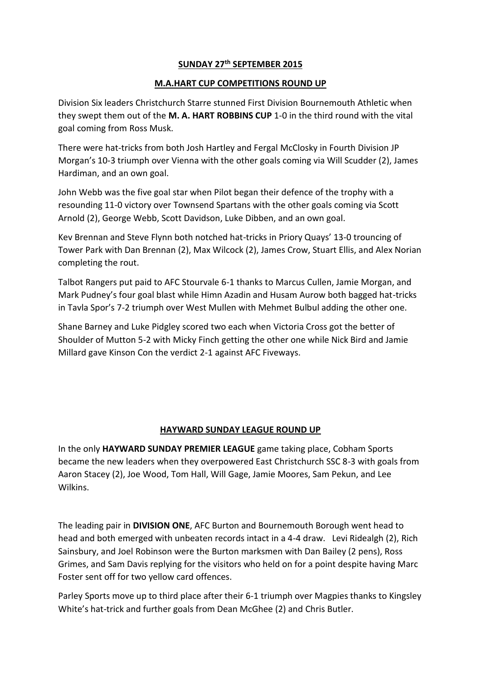## **SUNDAY 27th SEPTEMBER 2015**

## **M.A.HART CUP COMPETITIONS ROUND UP**

Division Six leaders Christchurch Starre stunned First Division Bournemouth Athletic when they swept them out of the **M. A. HART ROBBINS CUP** 1-0 in the third round with the vital goal coming from Ross Musk.

There were hat-tricks from both Josh Hartley and Fergal McClosky in Fourth Division JP Morgan's 10-3 triumph over Vienna with the other goals coming via Will Scudder (2), James Hardiman, and an own goal.

John Webb was the five goal star when Pilot began their defence of the trophy with a resounding 11-0 victory over Townsend Spartans with the other goals coming via Scott Arnold (2), George Webb, Scott Davidson, Luke Dibben, and an own goal.

Kev Brennan and Steve Flynn both notched hat-tricks in Priory Quays' 13-0 trouncing of Tower Park with Dan Brennan (2), Max Wilcock (2), James Crow, Stuart Ellis, and Alex Norian completing the rout.

Talbot Rangers put paid to AFC Stourvale 6-1 thanks to Marcus Cullen, Jamie Morgan, and Mark Pudney's four goal blast while Himn Azadin and Husam Aurow both bagged hat-tricks in Tavla Spor's 7-2 triumph over West Mullen with Mehmet Bulbul adding the other one.

Shane Barney and Luke Pidgley scored two each when Victoria Cross got the better of Shoulder of Mutton 5-2 with Micky Finch getting the other one while Nick Bird and Jamie Millard gave Kinson Con the verdict 2-1 against AFC Fiveways.

## **HAYWARD SUNDAY LEAGUE ROUND UP**

In the only **HAYWARD SUNDAY PREMIER LEAGUE** game taking place, Cobham Sports became the new leaders when they overpowered East Christchurch SSC 8-3 with goals from Aaron Stacey (2), Joe Wood, Tom Hall, Will Gage, Jamie Moores, Sam Pekun, and Lee Wilkins.

The leading pair in **DIVISION ONE**, AFC Burton and Bournemouth Borough went head to head and both emerged with unbeaten records intact in a 4-4 draw. Levi Ridealgh (2), Rich Sainsbury, and Joel Robinson were the Burton marksmen with Dan Bailey (2 pens), Ross Grimes, and Sam Davis replying for the visitors who held on for a point despite having Marc Foster sent off for two yellow card offences.

Parley Sports move up to third place after their 6-1 triumph over Magpies thanks to Kingsley White's hat-trick and further goals from Dean McGhee (2) and Chris Butler.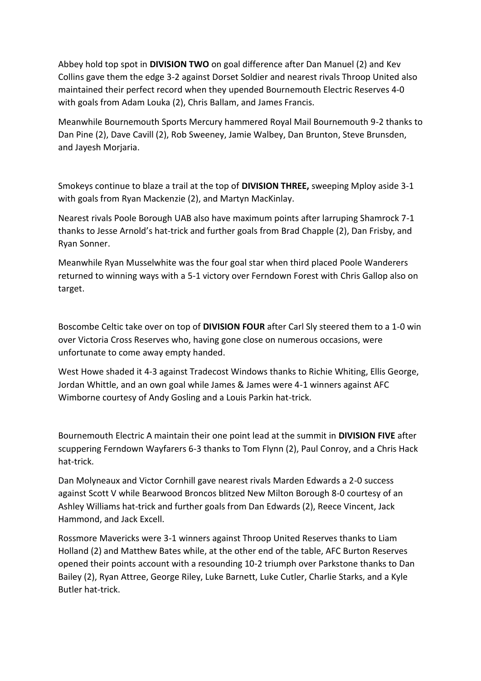Abbey hold top spot in **DIVISION TWO** on goal difference after Dan Manuel (2) and Kev Collins gave them the edge 3-2 against Dorset Soldier and nearest rivals Throop United also maintained their perfect record when they upended Bournemouth Electric Reserves 4-0 with goals from Adam Louka (2), Chris Ballam, and James Francis.

Meanwhile Bournemouth Sports Mercury hammered Royal Mail Bournemouth 9-2 thanks to Dan Pine (2), Dave Cavill (2), Rob Sweeney, Jamie Walbey, Dan Brunton, Steve Brunsden, and Javesh Moriaria.

Smokeys continue to blaze a trail at the top of **DIVISION THREE,** sweeping Mploy aside 3-1 with goals from Ryan Mackenzie (2), and Martyn MacKinlay.

Nearest rivals Poole Borough UAB also have maximum points after larruping Shamrock 7-1 thanks to Jesse Arnold's hat-trick and further goals from Brad Chapple (2), Dan Frisby, and Ryan Sonner.

Meanwhile Ryan Musselwhite was the four goal star when third placed Poole Wanderers returned to winning ways with a 5-1 victory over Ferndown Forest with Chris Gallop also on target.

Boscombe Celtic take over on top of **DIVISION FOUR** after Carl Sly steered them to a 1-0 win over Victoria Cross Reserves who, having gone close on numerous occasions, were unfortunate to come away empty handed.

West Howe shaded it 4-3 against Tradecost Windows thanks to Richie Whiting, Ellis George, Jordan Whittle, and an own goal while James & James were 4-1 winners against AFC Wimborne courtesy of Andy Gosling and a Louis Parkin hat-trick.

Bournemouth Electric A maintain their one point lead at the summit in **DIVISION FIVE** after scuppering Ferndown Wayfarers 6-3 thanks to Tom Flynn (2), Paul Conroy, and a Chris Hack hat-trick.

Dan Molyneaux and Victor Cornhill gave nearest rivals Marden Edwards a 2-0 success against Scott V while Bearwood Broncos blitzed New Milton Borough 8-0 courtesy of an Ashley Williams hat-trick and further goals from Dan Edwards (2), Reece Vincent, Jack Hammond, and Jack Excell.

Rossmore Mavericks were 3-1 winners against Throop United Reserves thanks to Liam Holland (2) and Matthew Bates while, at the other end of the table, AFC Burton Reserves opened their points account with a resounding 10-2 triumph over Parkstone thanks to Dan Bailey (2), Ryan Attree, George Riley, Luke Barnett, Luke Cutler, Charlie Starks, and a Kyle Butler hat-trick.